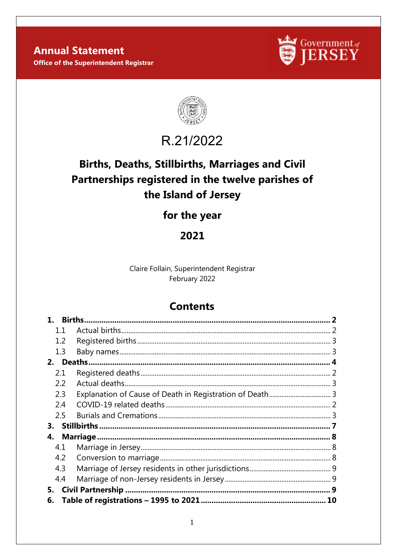**Annual Statement Office of the Superintendent Registrar** 





# R.21/2022

## **Births, Deaths, Stillbirths, Marriages and Civil** Partnerships registered in the twelve parishes of the Island of Jersey

## for the year

## 2021

Claire Follain, Superintendent Registrar February 2022

## **Contents**

|     | <b>Births.</b> |  |
|-----|----------------|--|
| 1.1 |                |  |
| 1.2 |                |  |
| 1.3 |                |  |
|     |                |  |
| 2.1 |                |  |
| 2.2 |                |  |
| 2.3 |                |  |
| 2.4 |                |  |
| 2.5 |                |  |
| 3.  |                |  |
| 4.  |                |  |
| 4.1 |                |  |
| 4.2 |                |  |
| 4.3 |                |  |
| 4.4 |                |  |
| 5.  |                |  |
| 6.  |                |  |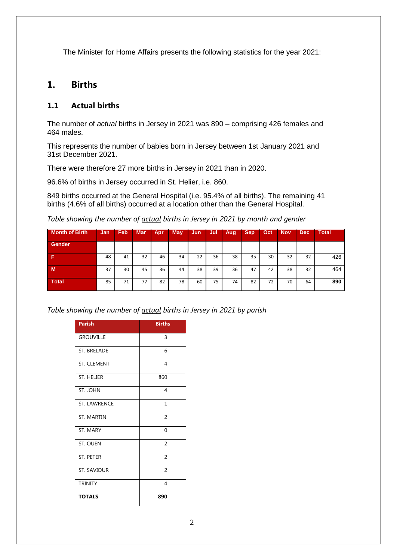The Minister for Home Affairs presents the following statistics for the year 2021:

## <span id="page-1-0"></span>**1. Births**

#### <span id="page-1-1"></span>**1.1 Actual births**

The number of *actual* births in Jersey in 2021 was 890 – comprising 426 females and 464 males.

This represents the number of babies born in Jersey between 1st January 2021 and 31st December 2021.

There were therefore 27 more births in Jersey in 2021 than in 2020.

96.6% of births in Jersey occurred in St. Helier, i.e. 860.

849 births occurred at the General Hospital (i.e. 95.4% of all births). The remaining 41 births (4.6% of all births) occurred at a location other than the General Hospital.

*Table showing the number of actual births in Jersey in 2021 by month and gender*

| <b>Month of Birth</b> | Jan | Feb | <b>Mar</b> | Apr | May | Jun | Jul | Aug | <b>Sep</b> | Oct | <b>Nov</b> | <b>Dec</b> | <b>Total</b> |
|-----------------------|-----|-----|------------|-----|-----|-----|-----|-----|------------|-----|------------|------------|--------------|
| Gender                |     |     |            |     |     |     |     |     |            |     |            |            |              |
| Е                     | 48  | 41  | 32         | 46  | 34  | 22  | 36  | 38  | 35         | 30  | 32         | 32         | 426          |
| M.                    | 37  | 30  | 45         | 36  | 44  | 38  | 39  | 36  | 47         | 42  | 38         | 32         | 464          |
| <b>Total</b>          | 85  | 71  | 77         | 82  | 78  | 60  | 75  | 74  | 82         | 72  | 70         | 64         | 890          |

*Table showing the number of actual births in Jersey in 2021 by parish*

| <b>Parish</b>       | <b>Births</b>  |
|---------------------|----------------|
| <b>GROUVILLE</b>    | 3              |
| <b>ST. BRELADE</b>  | 6              |
| <b>ST. CLEMENT</b>  | 4              |
| <b>ST. HELIER</b>   | 860            |
| ST. JOHN            | $\overline{4}$ |
| <b>ST. LAWRENCE</b> | $\mathbf{1}$   |
| <b>ST. MARTIN</b>   | $\overline{2}$ |
| ST. MARY            | $\Omega$       |
| ST. OUEN            | $\overline{2}$ |
| <b>ST. PETER</b>    | $\overline{2}$ |
| ST. SAVIOUR         | $\overline{2}$ |
| <b>TRINITY</b>      | 4              |
| <b>TOTALS</b>       | 890            |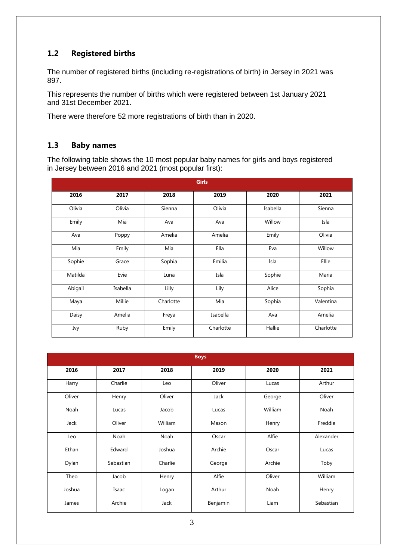## <span id="page-2-0"></span>**1.2 Registered births**

The number of registered births (including re-registrations of birth) in Jersey in 2021 was 897.

This represents the number of births which were registered between 1st January 2021 and 31st December 2021.

There were therefore 52 more registrations of birth than in 2020.

#### <span id="page-2-1"></span>**1.3 Baby names**

The following table shows the 10 most popular baby names for girls and boys registered in Jersey between 2016 and 2021 (most popular first):

|         |          |           | <b>Girls</b> |          |           |
|---------|----------|-----------|--------------|----------|-----------|
| 2016    | 2017     | 2018      | 2019         | 2020     | 2021      |
| Olivia  | Olivia   | Sienna    | Olivia       | Isabella | Sienna    |
| Emily   | Mia      | Ava       | Ava          | Willow   | Isla      |
| Ava     | Poppy    | Amelia    | Amelia       | Emily    | Olivia    |
| Mia     | Emily    | Mia       | Ella         | Eva      | Willow    |
| Sophie  | Grace    | Sophia    | Emilia       | Isla     | Ellie     |
| Matilda | Evie     | Luna      | Isla         | Sophie   | Maria     |
| Abigail | Isabella | Lilly     | Lily         | Alice    | Sophia    |
| Maya    | Millie   | Charlotte | Mia          | Sophia   | Valentina |
| Daisy   | Amelia   | Freya     | Isabella     | Ava      | Amelia    |
| Ivy     | Ruby     | Emily     | Charlotte    | Hallie   | Charlotte |

|        |           |         | <b>Boys</b> |         |           |
|--------|-----------|---------|-------------|---------|-----------|
| 2016   | 2017      | 2018    | 2019        | 2020    | 2021      |
| Harry  | Charlie   | Leo     | Oliver      | Lucas   | Arthur    |
| Oliver | Henry     | Oliver  | Jack        | George  | Oliver    |
| Noah   | Lucas     | Jacob   | Lucas       | William | Noah      |
| Jack   | Oliver    | William | Mason       | Henry   | Freddie   |
| Leo    | Noah      | Noah    | Oscar       | Alfie   | Alexander |
| Ethan  | Edward    | Joshua  | Archie      | Oscar   | Lucas     |
| Dylan  | Sebastian | Charlie | George      | Archie  | Toby      |
| Theo   | Jacob     | Henry   | Alfie       | Oliver  | William   |
| Joshua | Isaac     | Logan   | Arthur      | Noah    | Henry     |
| James  | Archie    | Jack    | Benjamin    | Liam    | Sebastian |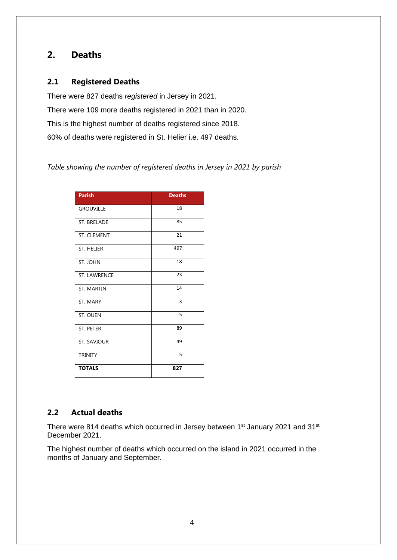## <span id="page-3-0"></span>**2. Deaths**

#### **2.1 Registered Deaths**

There were 827 deaths *registered* in Jersey in 2021. There were 109 more deaths registered in 2021 than in 2020. This is the highest number of deaths registered since 2018. 60% of deaths were registered in St. Helier i.e. 497 deaths.

*Table showing the number of registered deaths in Jersey in 2021 by parish*

| <b>Parish</b>       | <b>Deaths</b> |
|---------------------|---------------|
| <b>GROUVILLE</b>    | 18            |
| <b>ST. BRELADE</b>  | 85            |
| <b>ST. CLEMENT</b>  | 21            |
| <b>ST. HELIER</b>   | 497           |
| ST. JOHN            | 18            |
| <b>ST. LAWRENCE</b> | 23            |
| <b>ST. MARTIN</b>   | 14            |
| ST. MARY            | 3             |
| ST. OUEN            | 5             |
| <b>ST. PETER</b>    | 89            |
| <b>ST. SAVIOUR</b>  | 49            |
| <b>TRINITY</b>      | 5             |
| <b>TOTALS</b>       | 827           |

#### **2.2 Actual deaths**

There were 814 deaths which occurred in Jersey between 1<sup>st</sup> January 2021 and 31<sup>st</sup> December 2021.

The highest number of deaths which occurred on the island in 2021 occurred in the months of January and September.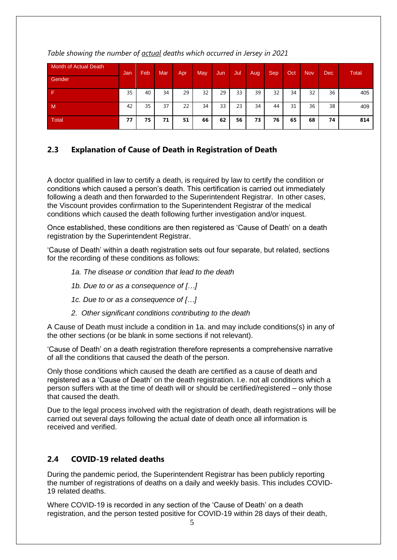| Month of Actual Death | Jan | Feb | Mar | Apr | <b>May</b> | Jun | Jul | <b>Aug</b> | Sep | Oct | <b>Nov</b> | <b>Dec</b> | Total |
|-----------------------|-----|-----|-----|-----|------------|-----|-----|------------|-----|-----|------------|------------|-------|
| Gender                |     |     |     |     |            |     |     |            |     |     |            |            |       |
|                       | 35  | 40  | 34  | 29  | 32         | 29  | 33  | 39         | 32  | 34  | 32         | 36         | 405   |
| $\mathsf{M}$          | 42  | 35  | 37  | 22  | 34         | 33  | 23  | 34         | 44  | 31  | 36         | 38         | 409   |
| <b>Total</b>          | 77  | 75  | 71  | 51  | 66         | 62  | 56  | 73         | 76  | 65  | 68         | 74         | 814   |

*Table showing the number of actual deaths which occurred in Jersey in 2021*

## **2.3 Explanation of Cause of Death in Registration of Death**

A doctor qualified in law to certify a death, is required by law to certify the condition or conditions which caused a person's death. This certification is carried out immediately following a death and then forwarded to the Superintendent Registrar. In other cases, the Viscount provides confirmation to the Superintendent Registrar of the medical conditions which caused the death following further investigation and/or inquest.

Once established, these conditions are then registered as 'Cause of Death' on a death registration by the Superintendent Registrar.

'Cause of Death' within a death registration sets out four separate, but related, sections for the recording of these conditions as follows:

- *1a. The disease or condition that lead to the death*
- *1b. Due to or as a consequence of […]*
- *1c. Due to or as a consequence of […]*
- *2. Other significant conditions contributing to the death*

A Cause of Death must include a condition in 1a. and may include conditions(s) in any of the other sections (or be blank in some sections if not relevant).

'Cause of Death' on a death registration therefore represents a comprehensive narrative of all the conditions that caused the death of the person.

Only those conditions which caused the death are certified as a cause of death and registered as a 'Cause of Death' on the death registration. I.e. not all conditions which a person suffers with at the time of death will or should be certified/registered – only those that caused the death.

Due to the legal process involved with the registration of death, death registrations will be carried out several days following the actual date of death once all information is received and verified.

### **2.4 COVID-19 related deaths**

During the pandemic period, the Superintendent Registrar has been publicly reporting the number of registrations of deaths on a daily and weekly basis. This includes COVID-19 related deaths.

Where COVID-19 is recorded in any section of the 'Cause of Death' on a death registration, and the person tested positive for COVID-19 within 28 days of their death,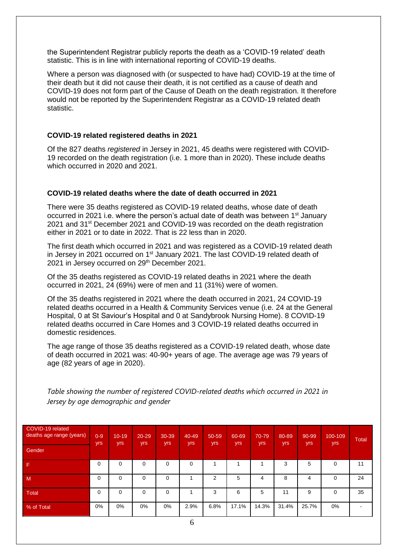the Superintendent Registrar publicly reports the death as a 'COVID-19 related' death statistic. This is in line with international reporting of COVID-19 deaths.

Where a person was diagnosed with (or suspected to have had) COVID-19 at the time of their death but it did not cause their death, it is not certified as a cause of death and COVID-19 does not form part of the Cause of Death on the death registration. It therefore would not be reported by the Superintendent Registrar as a COVID-19 related death statistic.

#### **COVID-19 related registered deaths in 2021**

Of the 827 deaths *registered* in Jersey in 2021, 45 deaths were registered with COVID-19 recorded on the death registration (i.e. 1 more than in 2020). These include deaths which occurred in 2020 and 2021.

#### **COVID-19 related deaths where the date of death occurred in 2021**

There were 35 deaths registered as COVID-19 related deaths, whose date of death occurred in 2021 i.e. where the person's actual date of death was between 1<sup>st</sup> January 2021 and 31<sup>st</sup> December 2021 and COVID-19 was recorded on the death registration either in 2021 or to date in 2022. That is 22 less than in 2020.

The first death which occurred in 2021 and was registered as a COVID-19 related death in Jersey in 2021 occurred on 1<sup>st</sup> January 2021. The last COVID-19 related death of 2021 in Jersey occurred on 29th December 2021.

Of the 35 deaths registered as COVID-19 related deaths in 2021 where the death occurred in 2021, 24 (69%) were of men and 11 (31%) were of women.

Of the 35 deaths registered in 2021 where the death occurred in 2021, 24 COVID-19 related deaths occurred in a Health & Community Services venue (i.e. 24 at the General Hospital, 0 at St Saviour's Hospital and 0 at Sandybrook Nursing Home). 8 COVID-19 related deaths occurred in Care Homes and 3 COVID-19 related deaths occurred in domestic residences.

The age range of those 35 deaths registered as a COVID-19 related death, whose date of death occurred in 2021 was: 40-90+ years of age. The average age was 79 years of age (82 years of age in 2020).

*Table showing the number of registered COVID-related deaths which occurred in 2021 in Jersey by age demographic and gender*

| COVID-19 related<br>deaths age range (years) | $0 - 9$<br>yrs | $10 - 19$<br>yrs | $20 - 29$<br>yrs | 30-39<br>yrs | 40-49<br>yrs | 50-59<br><b>yrs</b> | 60-69<br>yrs | 70-79<br>yrs | 80-89<br>yrs | 90-99<br><b>yrs</b> | 100-109<br><b>yrs</b> | <b>Total</b> |
|----------------------------------------------|----------------|------------------|------------------|--------------|--------------|---------------------|--------------|--------------|--------------|---------------------|-----------------------|--------------|
| Gender                                       |                |                  |                  |              |              |                     |              |              |              |                     |                       |              |
| -F                                           | $\Omega$       | $\Omega$         | 0                | 0            | 0            |                     |              |              | 3            | 5                   | 0                     | 11           |
| M                                            | 0              | 0                | 0                | 0            |              | ⌒                   | 5            | 4            | 8            | 4                   | 0                     | 24           |
| Total                                        | $\mathbf 0$    | $\Omega$         | 0                | 0            |              | 3                   | 6            | 5            | 11           | 9                   | $\Omega$              | 35           |
| % of Total                                   | 0%             | 0%               | $0\%$            | $0\%$        | 2.9%         | 6.8%                | 17.1%        | 14.3%        | 31.4%        | 25.7%               | 0%                    |              |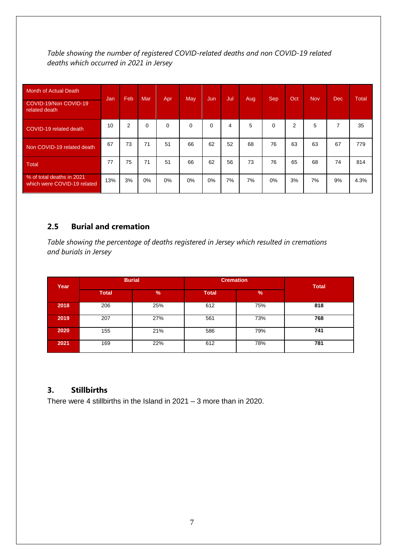*Table showing the number of registered COVID-related deaths and non COVID-19 related deaths which occurred in 2021 in Jersey* 

| Month of Actual Death                                    |      |     | Mar      | Apr   |     |     |     |      |             |                |            |            |       |
|----------------------------------------------------------|------|-----|----------|-------|-----|-----|-----|------|-------------|----------------|------------|------------|-------|
| COVID-19/Non COVID-19<br>related death                   | Jan/ | Feb |          |       | May | Jun | Jul | Aug. | <b>Sep</b>  | Oct            | <b>Nov</b> | <b>Dec</b> | Total |
| COVID-19 related death                                   | 10   | 2   | $\Omega$ | 0     | 0   | 0   | 4   | 5    | $\mathbf 0$ | $\overline{2}$ | 5          | 7          | 35    |
| Non COVID-19 related death                               | 67   | 73  | 71       | 51    | 66  | 62  | 52  | 68   | 76          | 63             | 63         | 67         | 779   |
| <b>Total</b>                                             | 77   | 75  | 71       | 51    | 66  | 62  | 56  | 73   | 76          | 65             | 68         | 74         | 814   |
| % of total deaths in 2021<br>which were COVID-19 related | 13%  | 3%  | $0\%$    | $0\%$ | 0%  | 0%  | 7%  | 7%   | 0%          | 3%             | 7%         | 9%         | 4.3%  |

#### **2.5 Burial and cremation**

*Table showing the percentage of deaths registered in Jersey which resulted in cremations and burials in Jersey*

| Year |              | <b>Burial</b> |              | <b>Cremation</b> |              |  |  |  |  |
|------|--------------|---------------|--------------|------------------|--------------|--|--|--|--|
|      | <b>Total</b> | $\frac{9}{6}$ | <b>Total</b> | $\frac{9}{6}$    | <b>Total</b> |  |  |  |  |
| 2018 | 206          | 25%           | 612          | 75%              | 818          |  |  |  |  |
| 2019 | 207          | 27%           | 561          | 73%              | 768          |  |  |  |  |
| 2020 | 155          | 21%           | 586          | 79%              | 741          |  |  |  |  |
| 2021 | 169          | 22%           | 612          | 78%              | 781          |  |  |  |  |

### <span id="page-6-0"></span>**3. Stillbirths**

<span id="page-6-1"></span>There were 4 stillbirths in the Island in 2021 – 3 more than in 2020.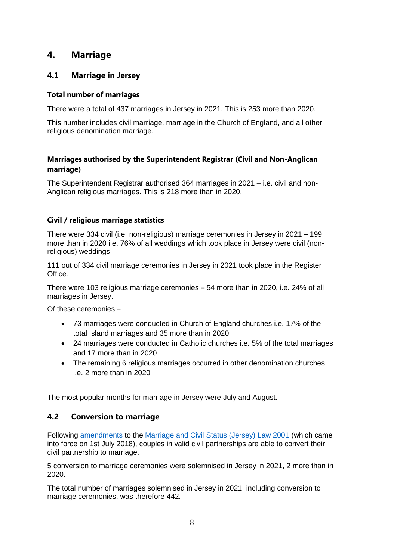## **4. Marriage**

### <span id="page-7-0"></span>**4.1 Marriage in Jersey**

#### **Total number of marriages**

There were a total of 437 marriages in Jersey in 2021. This is 253 more than 2020.

This number includes civil marriage, marriage in the Church of England, and all other religious denomination marriage.

#### **Marriages authorised by the Superintendent Registrar (Civil and Non-Anglican marriage)**

The Superintendent Registrar authorised 364 marriages in 2021 – i.e. civil and non-Anglican religious marriages. This is 218 more than in 2020.

#### **Civil / religious marriage statistics**

There were 334 civil (i.e. non-religious) marriage ceremonies in Jersey in 2021 – 199 more than in 2020 i.e. 76% of all weddings which took place in Jersey were civil (nonreligious) weddings.

111 out of 334 civil marriage ceremonies in Jersey in 2021 took place in the Register Office.

There were 103 religious marriage ceremonies – 54 more than in 2020, i.e. 24% of all marriages in Jersey.

Of these ceremonies –

- 73 marriages were conducted in Church of England churches i.e. 17% of the total Island marriages and 35 more than in 2020
- 24 marriages were conducted in Catholic churches i.e. 5% of the total marriages and 17 more than in 2020
- The remaining 6 religious marriages occurred in other denomination churches i.e. 2 more than in 2020

The most popular months for marriage in Jersey were July and August.

### <span id="page-7-1"></span>**4.2 Conversion to marriage**

Following [amendments](https://www.jerseylaw.je/laws/enacted/pages/L-19-2018.aspx) to the [Marriage and Civil Status \(Jersey\) Law 2001](https://www.jerseylaw.je/laws/revised/Pages/12.600.aspx) (which came into force on 1st July 2018), couples in valid civil partnerships are able to convert their civil partnership to marriage.

5 conversion to marriage ceremonies were solemnised in Jersey in 2021, 2 more than in 2020.

The total number of marriages solemnised in Jersey in 2021, including conversion to marriage ceremonies, was therefore 442.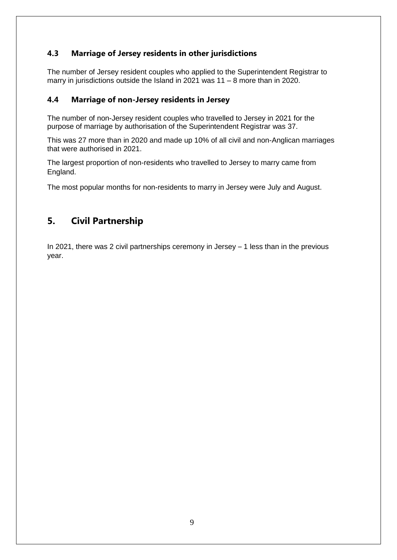## <span id="page-8-0"></span>**4.3 Marriage of Jersey residents in other jurisdictions**

The number of Jersey resident couples who applied to the Superintendent Registrar to marry in jurisdictions outside the Island in 2021 was 11 – 8 more than in 2020.

#### <span id="page-8-1"></span>**4.4 Marriage of non-Jersey residents in Jersey**

The number of non-Jersey resident couples who travelled to Jersey in 2021 for the purpose of marriage by authorisation of the Superintendent Registrar was 37.

This was 27 more than in 2020 and made up 10% of all civil and non-Anglican marriages that were authorised in 2021.

The largest proportion of non-residents who travelled to Jersey to marry came from England.

The most popular months for non-residents to marry in Jersey were July and August.

## <span id="page-8-2"></span>**5. Civil Partnership**

<span id="page-8-3"></span>In 2021, there was 2 civil partnerships ceremony in Jersey – 1 less than in the previous year.